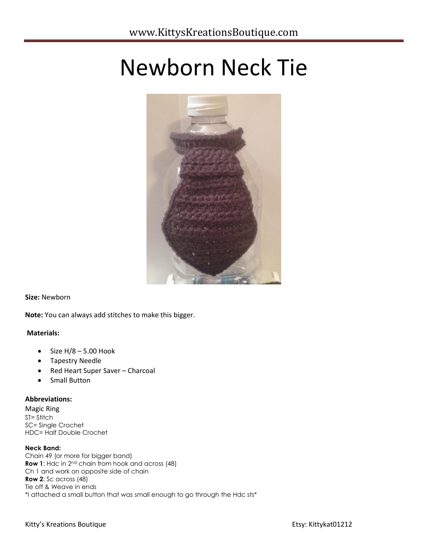# Newborn Neck Tie



## **Size:** Newborn

**Note:** You can always add stitches to make this bigger.

## **Materials:**

- $\bullet$  Size H/8 5.00 Hook
- Tapestry Needle
- Red Heart Super Saver Charcoal
- Small Button

## **Abbreviations:**

Magic Ring ST= Stitch SC= Single Crochet HDC= Half Double Crochet

## **Neck Band:**

Chain 49 (or more for bigger band) **Row 1**: Hdc in 2nd chain from hook and across (48) Ch 1 and work on opposite side of chain **Row 2**: Sc across (48) Tie off & Weave in ends \*I attached a small button that was small enough to go through the Hdc sts\*